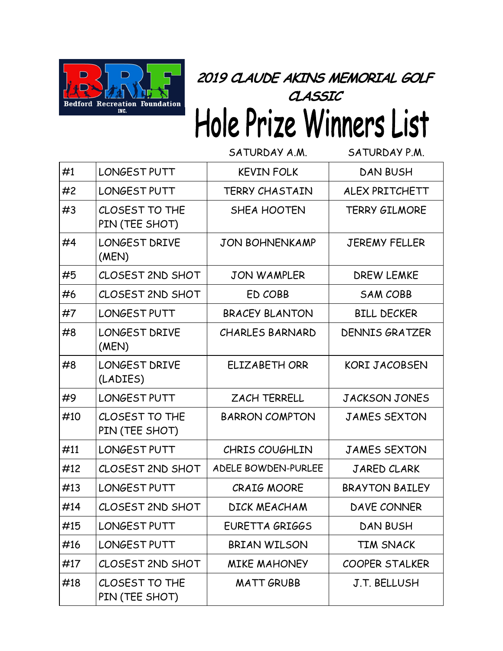

## **2019 CLAUDE AKINS MEMORIAL GOLF**  anssic<br>Hole Prize Winners List

|     |                                  | SATURDAY A.M.          | SATURDAY P.M.         |
|-----|----------------------------------|------------------------|-----------------------|
| #1  | LONGEST PUTT                     | <b>KEVIN FOLK</b>      | <b>DAN BUSH</b>       |
| #2  | LONGEST PUTT                     | <b>TERRY CHASTAIN</b>  | ALEX PRITCHETT        |
| #3  | CLOSEST TO THE<br>PIN (TEE SHOT) | SHEA HOOTEN            | <b>TERRY GILMORE</b>  |
| #4  | <b>LONGEST DRIVE</b><br>(MEN)    | <b>JON BOHNENKAMP</b>  | <b>JEREMY FELLER</b>  |
| #5  | <b>CLOSEST 2ND SHOT</b>          | <b>JON WAMPLER</b>     | DREW LEMKE            |
| #6  | CLOSEST 2ND SHOT                 | ED COBB                | <b>SAM COBB</b>       |
| #7  | LONGEST PUTT                     | <b>BRACEY BLANTON</b>  | <b>BILL DECKER</b>    |
| #8  | <b>LONGEST DRIVE</b><br>(MEN)    | <b>CHARLES BARNARD</b> | <b>DENNIS GRATZER</b> |
| #8  | <b>LONGEST DRIVE</b><br>(LADIES) | ELIZABETH ORR          | <b>KORI JACOBSEN</b>  |
| #9  | LONGEST PUTT                     | <b>ZACH TERRELL</b>    | <b>JACKSON JONES</b>  |
| #10 | CLOSEST TO THE<br>PIN (TEE SHOT) | <b>BARRON COMPTON</b>  | <b>JAMES SEXTON</b>   |
| #11 | LONGEST PUTT                     | CHRIS COUGHLIN         | <b>JAMES SEXTON</b>   |
| #12 | CLOSEST 2ND SHOT                 | ADELE BOWDEN-PURLEE    | <b>JARED CLARK</b>    |
| #13 | LONGEST PUTT                     | <b>CRAIG MOORE</b>     | <b>BRAYTON BAILEY</b> |
| #14 | CLOSEST 2ND SHOT                 | DICK MEACHAM           | DAVE CONNER           |
| #15 | LONGEST PUTT                     | EURETTA GRIGGS         | <b>DAN BUSH</b>       |
| #16 | LONGEST PUTT                     | BRIAN WILSON           | <b>TIM SNACK</b>      |
| #17 | CLOSEST 2ND SHOT                 | <b>MIKE MAHONEY</b>    | <b>COOPER STALKER</b> |
| #18 | CLOSEST TO THE<br>PIN (TEE SHOT) | <b>MATT GRUBB</b>      | <b>J.T. BELLUSH</b>   |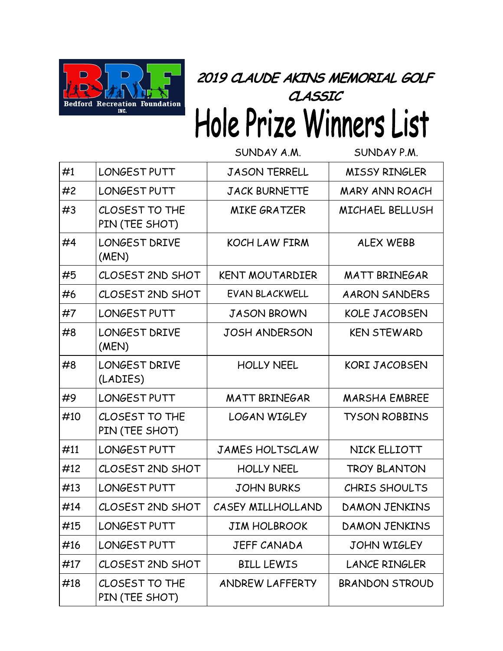

## **2019 CLAUDE AKINS MEMORIAL GOLF**  anssic<br>Hole Prize Winners List

|     |                                  | SUNDAY A.M.            | SUNDAY P.M.            |
|-----|----------------------------------|------------------------|------------------------|
| #1  | LONGEST PUTT                     | <b>JASON TERRELL</b>   | <b>MISSY RINGLER</b>   |
| #2  | LONGEST PUTT                     | <b>JACK BURNETTE</b>   | <b>MARY ANN ROACH</b>  |
| #3  | CLOSEST TO THE<br>PIN (TEE SHOT) | <b>MIKE GRATZER</b>    | <b>MICHAEL BELLUSH</b> |
| #4  | <b>LONGEST DRIVE</b><br>(MEN)    | KOCH LAW FIRM          | <b>ALEX WEBB</b>       |
| #5  | CLOSEST 2ND SHOT                 | <b>KENT MOUTARDIER</b> | <b>MATT BRINEGAR</b>   |
| #6  | CLOSEST 2ND SHOT                 | EVAN BLACKWELL         | <b>AARON SANDERS</b>   |
| #7  | LONGEST PUTT                     | <b>JASON BROWN</b>     | <b>KOLE JACOBSEN</b>   |
| #8  | <b>LONGEST DRIVE</b><br>(MEN)    | <b>JOSH ANDERSON</b>   | <b>KEN STEWARD</b>     |
| #8  | <b>LONGEST DRIVE</b><br>(LADIES) | <b>HOLLY NEEL</b>      | <b>KORI JACOBSEN</b>   |
| #9  | LONGEST PUTT                     | <b>MATT BRINEGAR</b>   | <b>MARSHA EMBREE</b>   |
| #10 | CLOSEST TO THE<br>PIN (TEE SHOT) | <b>LOGAN WIGLEY</b>    | <b>TYSON ROBBINS</b>   |
| #11 | LONGEST PUTT                     | <b>JAMES HOLTSCLAW</b> | NICK ELLIOTT           |
| #12 | CLOSEST 2ND SHOT                 | <b>HOLLY NEEL</b>      | <b>TROY BLANTON</b>    |
| #13 | LONGEST PUTT                     | <b>JOHN BURKS</b>      | <b>CHRIS SHOULTS</b>   |
| #14 | CLOSEST 2ND SHOT                 | CASEY MILLHOLLAND      | <b>DAMON JENKINS</b>   |
| #15 | LONGEST PUTT                     | <b>JIM HOLBROOK</b>    | <b>DAMON JENKINS</b>   |
| #16 | LONGEST PUTT                     | <b>JEFF CANADA</b>     | <b>JOHN WIGLEY</b>     |
| #17 | CLOSEST 2ND SHOT                 | <b>BILL LEWIS</b>      | <b>LANCE RINGLER</b>   |
| #18 | CLOSEST TO THE<br>PIN (TEE SHOT) | ANDREW LAFFERTY        | BRANDON STROUD         |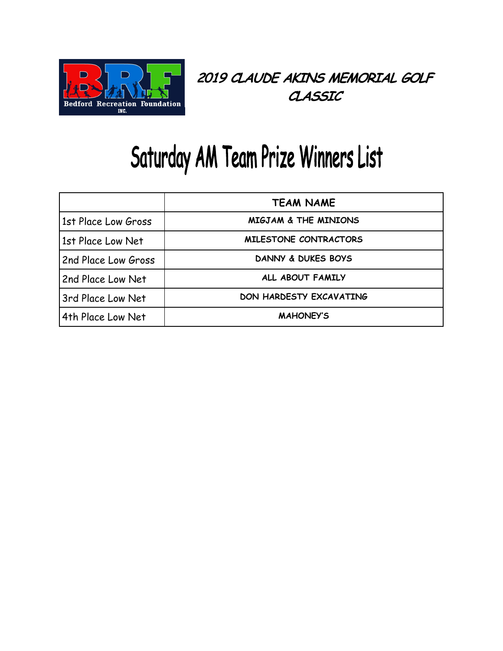

## Saturday AM Team Prize Winners List

|                     | <b>TEAM NAME</b>                |
|---------------------|---------------------------------|
| 1st Place Low Gross | <b>MIGJAM &amp; THE MINIONS</b> |
| 1st Place Low Net   | MILESTONE CONTRACTORS           |
| 2nd Place Low Gross | DANNY & DUKES BOYS              |
| 2nd Place Low Net   | ALL ABOUT FAMILY                |
| 3rd Place Low Net   | DON HARDESTY EXCAVATING         |
| 4th Place Low Net   | <b>MAHONEY'S</b>                |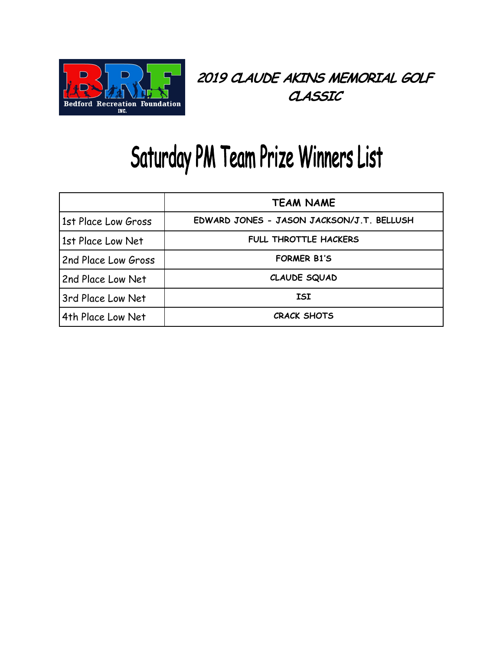

## Saturday PM Team Prize Winners List

|                     | <b>TEAM NAME</b>                          |
|---------------------|-------------------------------------------|
| 1st Place Low Gross | EDWARD JONES - JASON JACKSON/J.T. BELLUSH |
| 1st Place Low Net   | <b>FULL THROTTLE HACKERS</b>              |
| 2nd Place Low Gross | <b>FORMER B1'S</b>                        |
| 2nd Place Low Net   | CLAUDE SQUAD                              |
| 3rd Place Low Net   | <b>ISI</b>                                |
| 4th Place Low Net   | <b>CRACK SHOTS</b>                        |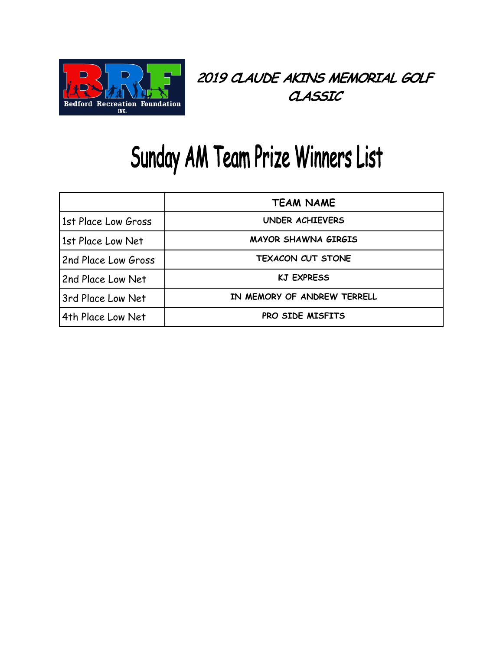

### Sunday AM Team Prize Winners List

|                     | <b>TEAM NAME</b>            |
|---------------------|-----------------------------|
| 1st Place Low Gross | <b>UNDER ACHIEVERS</b>      |
| 1st Place Low Net   | MAYOR SHAWNA GIRGIS         |
| 2nd Place Low Gross | <b>TEXACON CUT STONE</b>    |
| 2nd Place Low Net   | <b>KJ EXPRESS</b>           |
| 3rd Place Low Net   | IN MEMORY OF ANDREW TERRELL |
| 4th Place Low Net   | <b>PRO SIDE MISFITS</b>     |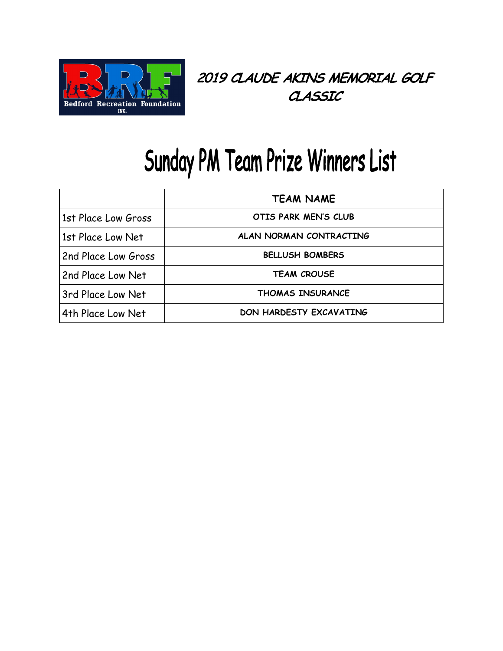

## Sunday PM Team Prize Winners List

|                     | <b>TEAM NAME</b>        |
|---------------------|-------------------------|
| 1st Place Low Gross | OTIS PARK MEN'S CLUB    |
| 1st Place Low Net   | ALAN NORMAN CONTRACTING |
| 2nd Place Low Gross | <b>BELLUSH BOMBERS</b>  |
| 2nd Place Low Net   | <b>TEAM CROUSE</b>      |
| 3rd Place Low Net   | <b>THOMAS INSURANCE</b> |
| 4th Place Low Net   | DON HARDESTY EXCAVATING |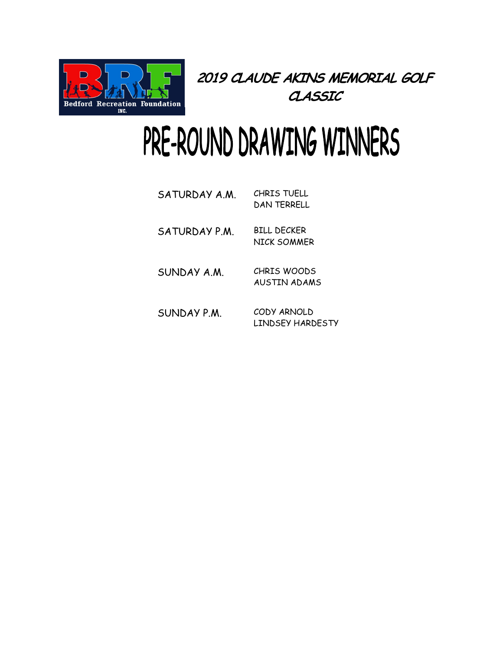

# PRE-ROUND DRAWING WINNERS

| SATURDAY A.M. | CHRIS TUFLL<br>DAN TERRELL        |
|---------------|-----------------------------------|
| SATURDAY P.M. | BILL DECKER<br><b>NICK SOMMER</b> |
| SUNDAY A.M.   | CHRIS WOODS<br>AUSTIN ADAMS       |
| SUNDAY P.M.   | CODY ARNOLD<br>LINDSFY HARDFSTY   |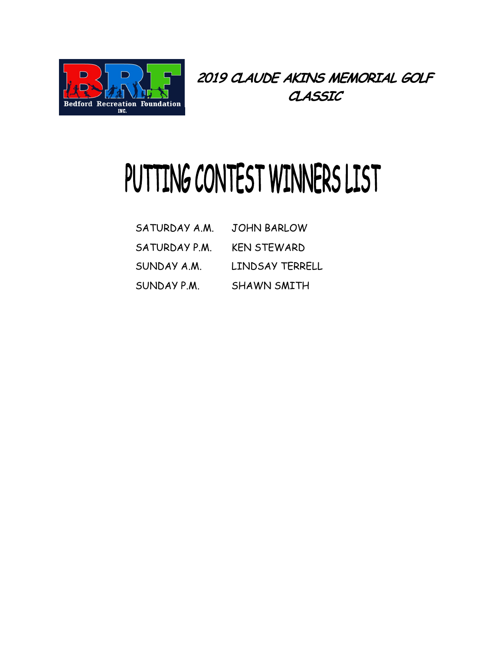

# PUTTING CONTEST WINNERS LIST

| SATURDAY A.M. | <b>JOHN BARLOW</b>     |
|---------------|------------------------|
| SATURDAY P.M. | <b>KEN STEWARD</b>     |
| SUNDAY A.M.   | <b>LINDSAY TERRELL</b> |
| SUNDAY P.M.   | SHAWN SMITH            |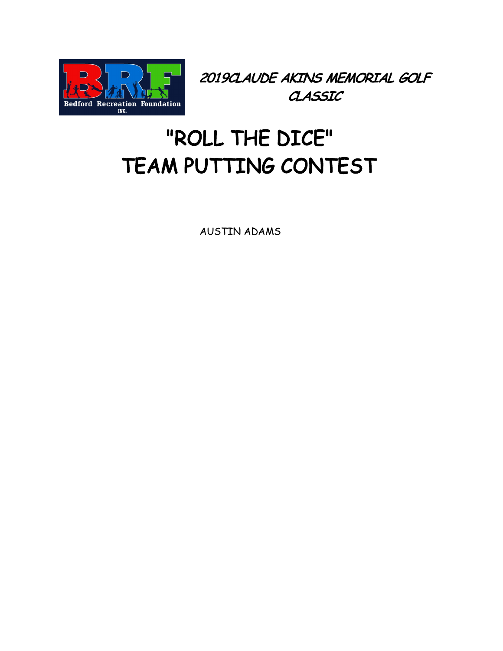

#### "ROLL THE DICE" TEAM PUTTING CONTEST

AUSTIN ADAMS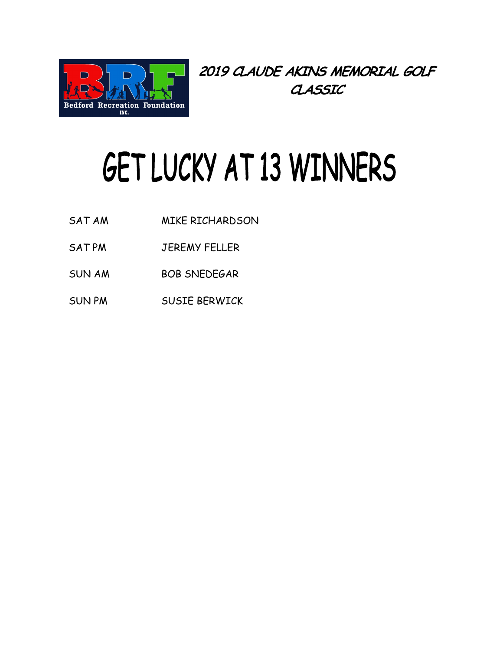

# GET LUCKY AT 13 WINNERS

- SAT AM MIKE RICHARDSON
- SAT PM JEREMY FELLER
- SUN AM BOB SNEDEGAR
- SUN PM SUSIE BERWICK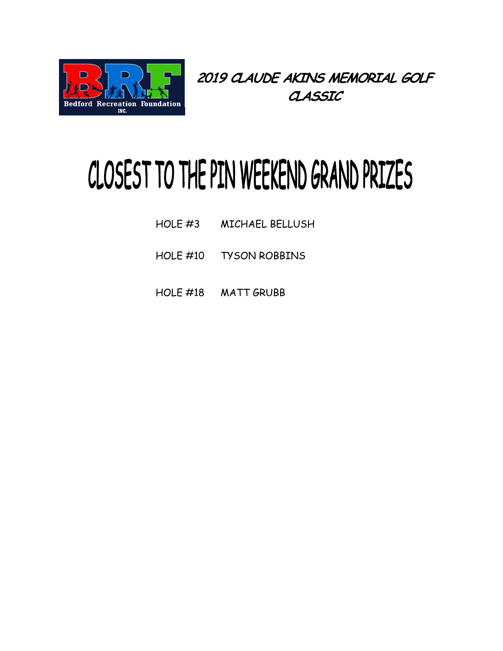

# CLOSEST TO THE PIN WEEKEND GRAND PRIZES

- HOLE #3 MICHAEL BELLUSH
- HOLE #10 TYSON ROBBINS
- HOLE #18 MATT GRUBB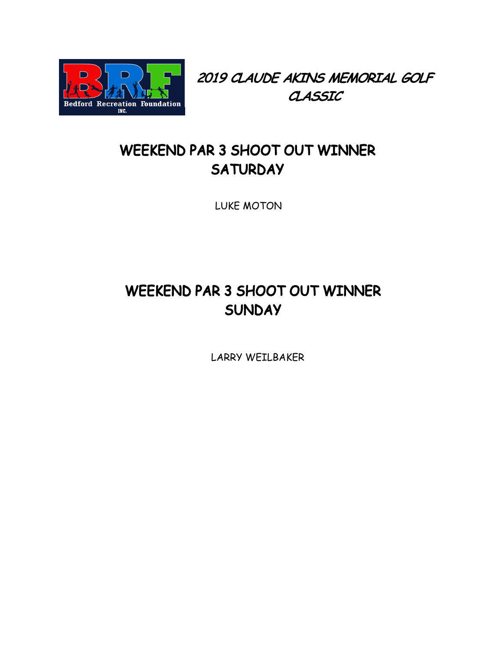

#### WEEKEND PAR 3 SHOOT OUT WINNER **SATURDAY**

LUKE MOTON

#### WEEKEND PAR 3 SHOOT OUT WINNER **SUNDAY**

LARRY WEILBAKER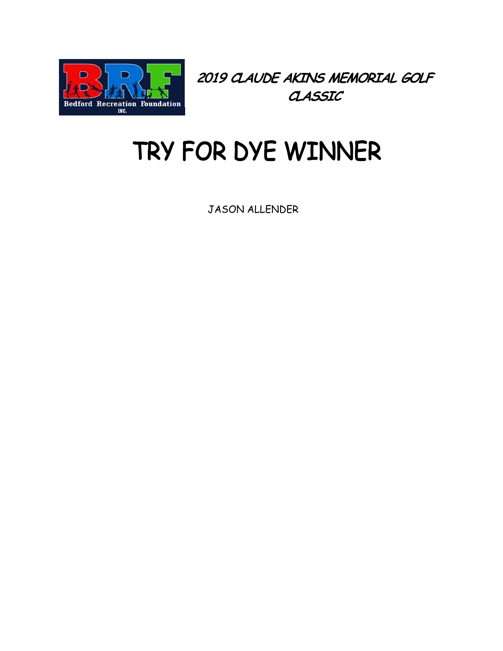

### TRY FOR DYE WINNER

JASON ALLENDER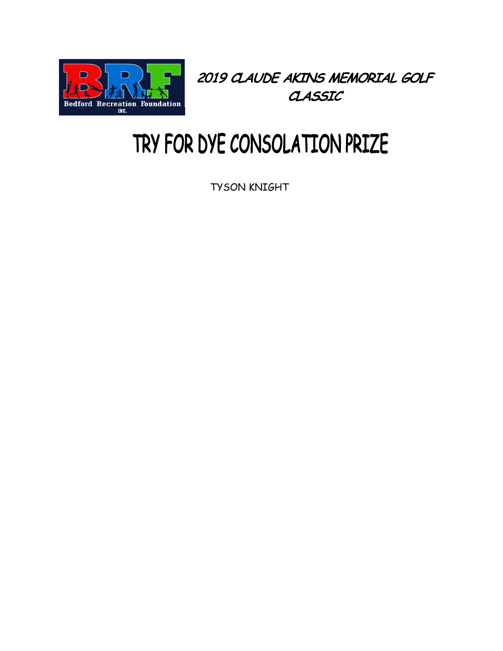

### TRY FOR DYE CONSOLATION PRIZE

TYSON KNIGHT